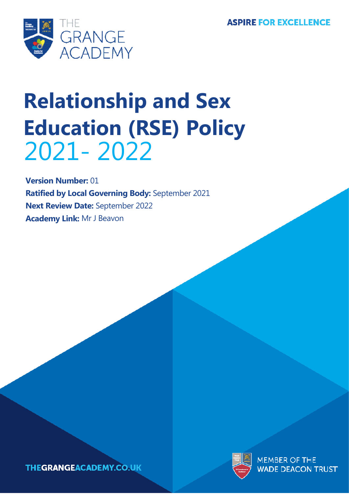

# **Relationship and Sex Education (RSE) Policy** 2021- 2022

**Version Number:** 01 **Ratified by Local Governing Body:** September 2021 **Next Review Date:** September 2022 **Academy Link:** Mr J Beavon



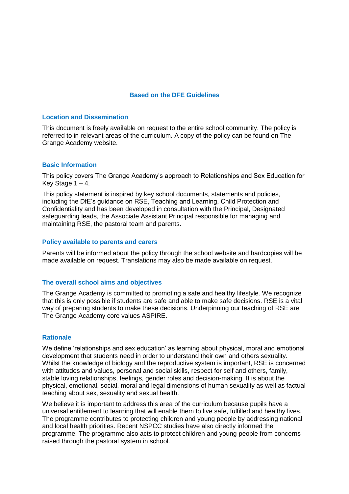#### **Based on the DFE Guidelines**

#### **Location and Dissemination**

This document is freely available on request to the entire school community. The policy is referred to in relevant areas of the curriculum. A copy of the policy can be found on The Grange Academy website.

#### **Basic Information**

This policy covers The Grange Academy's approach to Relationships and Sex Education for Key Stage  $1 - 4$ .

This policy statement is inspired by key school documents, statements and policies, including the DfE's guidance on RSE, Teaching and Learning, Child Protection and Confidentiality and has been developed in consultation with the Principal, Designated safeguarding leads, the Associate Assistant Principal responsible for managing and maintaining RSE, the pastoral team and parents.

#### **Policy available to parents and carers**

Parents will be informed about the policy through the school website and hardcopies will be made available on request. Translations may also be made available on request.

#### **The overall school aims and objectives**

The Grange Academy is committed to promoting a safe and healthy lifestyle. We recognize that this is only possible if students are safe and able to make safe decisions. RSE is a vital way of preparing students to make these decisions. Underpinning our teaching of RSE are The Grange Academy core values ASPIRE.

#### **Rationale**

We define 'relationships and sex education' as learning about physical, moral and emotional development that students need in order to understand their own and others sexuality. Whilst the knowledge of biology and the reproductive system is important, RSE is concerned with attitudes and values, personal and social skills, respect for self and others, family, stable loving relationships, feelings, gender roles and decision-making. It is about the physical, emotional, social, moral and legal dimensions of human sexuality as well as factual teaching about sex, sexuality and sexual health.

We believe it is important to address this area of the curriculum because pupils have a universal entitlement to learning that will enable them to live safe, fulfilled and healthy lives. The programme contributes to protecting children and young people by addressing national and local health priorities. Recent NSPCC studies have also directly informed the programme. The programme also acts to protect children and young people from concerns raised through the pastoral system in school.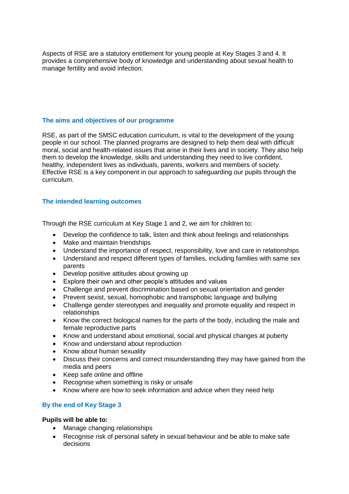Aspects of RSE are a statutory entitlement for young people at Key Stages 3 and 4. It provides a comprehensive body of knowledge and understanding about sexual health to manage fertility and avoid infection.

# **The aims and objectives of our programme**

RSE, as part of the SMSC education curriculum, is vital to the development of the young people in our school. The planned programs are designed to help them deal with difficult moral, social and health-related issues that arise in their lives and in society. They also help them to develop the knowledge, skills and understanding they need to live confident, healthy, independent lives as individuals, parents, workers and members of society. Effective RSE is a key component in our approach to safeguarding our pupils through the curriculum.

## **The intended learning outcomes**

Through the RSE curriculum at Key Stage 1 and 2, we aim for children to:

- Develop the confidence to talk, listen and think about feelings and relationships
- Make and maintain friendships
- Understand the importance of respect, responsibility, love and care in relationships
- Understand and respect different types of families, including families with same sex parents
- Develop positive attitudes about growing up
- Explore their own and other people's attitudes and values
- Challenge and prevent discrimination based on sexual orientation and gender
- Prevent sexist, sexual, homophobic and transphobic language and bullying
- Challenge gender stereotypes and inequality and promote equality and respect in relationships
- Know the correct biological names for the parts of the body, including the male and female reproductive parts
- Know and understand about emotional, social and physical changes at puberty
- Know and understand about reproduction
- Know about human sexuality
- Discuss their concerns and correct misunderstanding they may have gained from the media and peers
- Keep safe online and offline
- Recognise when something is risky or unsafe
- Know where are how to seek information and advice when they need help

## **By the end of Key Stage 3**

## **Pupils will be able to:**

- Manage changing relationships
- Recognise risk of personal safety in sexual behaviour and be able to make safe decisions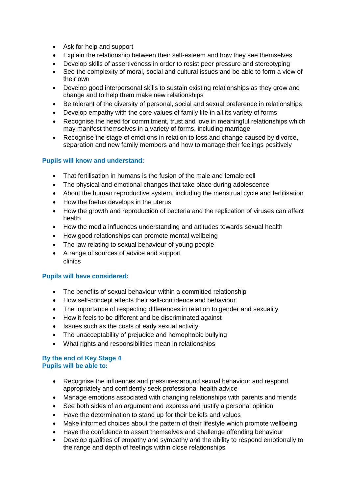- Ask for help and support
- Explain the relationship between their self-esteem and how they see themselves
- Develop skills of assertiveness in order to resist peer pressure and stereotyping
- See the complexity of moral, social and cultural issues and be able to form a view of their own
- Develop good interpersonal skills to sustain existing relationships as they grow and change and to help them make new relationships
- Be tolerant of the diversity of personal, social and sexual preference in relationships
- Develop empathy with the core values of family life in all its variety of forms
- Recognise the need for commitment, trust and love in meaningful relationships which may manifest themselves in a variety of forms, including marriage
- Recognise the stage of emotions in relation to loss and change caused by divorce, separation and new family members and how to manage their feelings positively

# **Pupils will know and understand:**

- That fertilisation in humans is the fusion of the male and female cell
- The physical and emotional changes that take place during adolescence
- About the human reproductive system, including the menstrual cycle and fertilisation
- How the foetus develops in the uterus
- How the growth and reproduction of bacteria and the replication of viruses can affect health
- How the media influences understanding and attitudes towards sexual health
- How good relationships can promote mental wellbeing
- The law relating to sexual behaviour of young people
- A range of sources of advice and support clinics

## **Pupils will have considered:**

- The benefits of sexual behaviour within a committed relationship
- How self-concept affects their self-confidence and behaviour
- The importance of respecting differences in relation to gender and sexuality
- How it feels to be different and be discriminated against
- Issues such as the costs of early sexual activity
- The unacceptability of prejudice and homophobic bullying
- What rights and responsibilities mean in relationships

#### **By the end of Key Stage 4 Pupils will be able to:**

- Recognise the influences and pressures around sexual behaviour and respond appropriately and confidently seek professional health advice
- Manage emotions associated with changing relationships with parents and friends
- See both sides of an argument and express and justify a personal opinion
- Have the determination to stand up for their beliefs and values
- Make informed choices about the pattern of their lifestyle which promote wellbeing
- Have the confidence to assert themselves and challenge offending behaviour
- Develop qualities of empathy and sympathy and the ability to respond emotionally to the range and depth of feelings within close relationships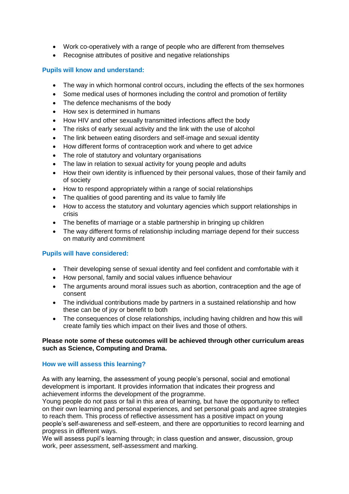- Work co-operatively with a range of people who are different from themselves
- Recognise attributes of positive and negative relationships

# **Pupils will know and understand:**

- The way in which hormonal control occurs, including the effects of the sex hormones
- Some medical uses of hormones including the control and promotion of fertility
- The defence mechanisms of the body
- How sex is determined in humans
- How HIV and other sexually transmitted infections affect the body
- The risks of early sexual activity and the link with the use of alcohol
- The link between eating disorders and self-image and sexual identity
- How different forms of contraception work and where to get advice
- The role of statutory and voluntary organisations
- The law in relation to sexual activity for young people and adults
- How their own identity is influenced by their personal values, those of their family and of society
- How to respond appropriately within a range of social relationships
- The qualities of good parenting and its value to family life
- How to access the statutory and voluntary agencies which support relationships in crisis
- The benefits of marriage or a stable partnership in bringing up children
- The way different forms of relationship including marriage depend for their success on maturity and commitment

## **Pupils will have considered:**

- Their developing sense of sexual identity and feel confident and comfortable with it
- How personal, family and social values influence behaviour
- The arguments around moral issues such as abortion, contraception and the age of consent
- The individual contributions made by partners in a sustained relationship and how these can be of joy or benefit to both
- The consequences of close relationships, including having children and how this will create family ties which impact on their lives and those of others.

## **Please note some of these outcomes will be achieved through other curriculum areas such as Science, Computing and Drama.**

## **How we will assess this learning?**

As with any learning, the assessment of young people's personal, social and emotional development is important. It provides information that indicates their progress and achievement informs the development of the programme.

Young people do not pass or fail in this area of learning, but have the opportunity to reflect on their own learning and personal experiences, and set personal goals and agree strategies to reach them. This process of reflective assessment has a positive impact on young people's self-awareness and self-esteem, and there are opportunities to record learning and progress in different ways.

We will assess pupil's learning through; in class question and answer, discussion, group work, peer assessment, self-assessment and marking.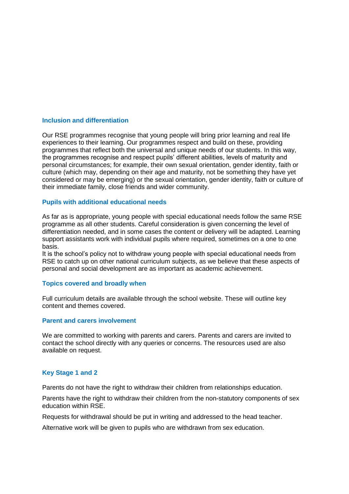#### **Inclusion and differentiation**

Our RSE programmes recognise that young people will bring prior learning and real life experiences to their learning. Our programmes respect and build on these, providing programmes that reflect both the universal and unique needs of our students. In this way, the programmes recognise and respect pupils' different abilities, levels of maturity and personal circumstances; for example, their own sexual orientation, gender identity, faith or culture (which may, depending on their age and maturity, not be something they have yet considered or may be emerging) or the sexual orientation, gender identity, faith or culture of their immediate family, close friends and wider community.

#### **Pupils with additional educational needs**

As far as is appropriate, young people with special educational needs follow the same RSE programme as all other students. Careful consideration is given concerning the level of differentiation needed, and in some cases the content or delivery will be adapted. Learning support assistants work with individual pupils where required, sometimes on a one to one basis.

It is the school's policy not to withdraw young people with special educational needs from RSE to catch up on other national curriculum subjects, as we believe that these aspects of personal and social development are as important as academic achievement.

#### **Topics covered and broadly when**

Full curriculum details are available through the school website. These will outline key content and themes covered.

#### **Parent and carers involvement**

We are committed to working with parents and carers. Parents and carers are invited to contact the school directly with any queries or concerns. The resources used are also available on request.

## **Key Stage 1 and 2**

Parents do not have the right to withdraw their children from relationships education.

Parents have the right to withdraw their children from the non-statutory components of sex education within RSE.

Requests for withdrawal should be put in writing and addressed to the head teacher.

Alternative work will be given to pupils who are withdrawn from sex education.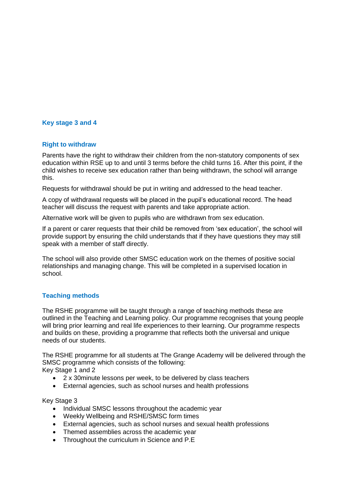# **Key stage 3 and 4**

#### **Right to withdraw**

Parents have the right to withdraw their children from the non-statutory components of sex education within RSE up to and until 3 terms before the child turns 16. After this point, if the child wishes to receive sex education rather than being withdrawn, the school will arrange this.

Requests for withdrawal should be put in writing and addressed to the head teacher.

A copy of withdrawal requests will be placed in the pupil's educational record. The head teacher will discuss the request with parents and take appropriate action.

Alternative work will be given to pupils who are withdrawn from sex education.

If a parent or carer requests that their child be removed from 'sex education', the school will provide support by ensuring the child understands that if they have questions they may still speak with a member of staff directly.

The school will also provide other SMSC education work on the themes of positive social relationships and managing change. This will be completed in a supervised location in school.

## **Teaching methods**

The RSHE programme will be taught through a range of teaching methods these are outlined in the Teaching and Learning policy. Our programme recognises that young people will bring prior learning and real life experiences to their learning. Our programme respects and builds on these, providing a programme that reflects both the universal and unique needs of our students.

The RSHE programme for all students at The Grange Academy will be delivered through the SMSC programme which consists of the following: Key Stage 1 and 2

- 2 x 30minute lessons per week, to be delivered by class teachers
- External agencies, such as school nurses and health professions

Key Stage 3

- Individual SMSC lessons throughout the academic year
- Weekly Wellbeing and RSHE/SMSC form times
- External agencies, such as school nurses and sexual health professions
- Themed assemblies across the academic year
- Throughout the curriculum in Science and P.E